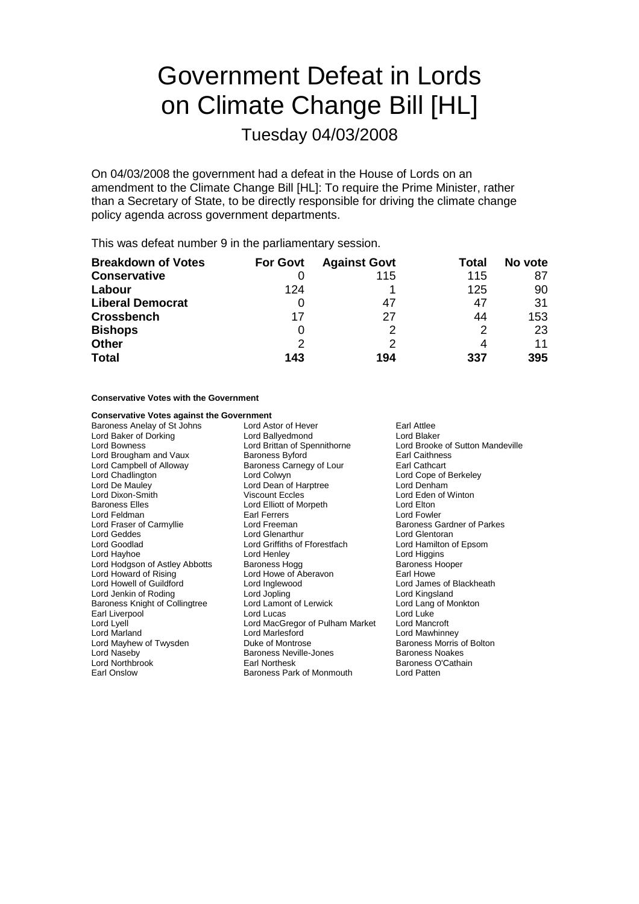# Government Defeat in Lords on Climate Change Bill [HL]

Tuesday 04/03/2008

On 04/03/2008 the government had a defeat in the House of Lords on an amendment to the Climate Change Bill [HL]: To require the Prime Minister, rather than a Secretary of State, to be directly responsible for driving the climate change policy agenda across government departments.

This was defeat number 9 in the parliamentary session.

| <b>Breakdown of Votes</b> | <b>For Govt</b> | <b>Against Govt</b> | Total | No vote |
|---------------------------|-----------------|---------------------|-------|---------|
| <b>Conservative</b>       |                 | 115                 | 115   | 87      |
| Labour                    | 124             |                     | 125   | 90      |
| <b>Liberal Democrat</b>   |                 | 47                  | 47    | 31      |
| <b>Crossbench</b>         | 17              | 27                  | 44    | 153     |
| <b>Bishops</b>            | $\Omega$        |                     |       | 23      |
| <b>Other</b>              | 2               |                     |       | 11      |
| <b>Total</b>              | 143             | 194                 | 337   | 395     |

#### **Conservative Votes with the Government**

# **Conservative Votes against the Government**<br>Baroness Anelay of St Johns Lord Astor of Hever

Lord Brougham and Vaux Lord De Mauley **Lord Dean of Harptree Lord Discount Eccles**<br>
Lord Dixon-Smith **College Lord Discount Eccles** Lord Hodgson of Astley Abbotts<br>Lord Howard of Rising Baroness Knight of Collingtree Lord Mayhew of Twysden Earl Onslow Baroness Park of Monmouth Lord Patten

Baroness Anelay of St Johns Lord Astor of Hever Earl Attlee Lord Baker of Dorking **Lord Ballyedmond** Lord Blaker<br>
Lord Bowness **Lord Brittan of Spennithorne** Lord Brooke Lord Bowness Lord Brittan of Spennithorne Lord Brooke of Sutton Mandeville Lord Campbell of Alloway **Baroness Carnegy of Lour** Earl Cathcart Lord Chadlington Lord Colwyn Lord Colwyn Lord Colore of Berkeley<br>
Lord De Mauley Lord Dean of Harptree Lord Denham Viscount Eccles Lord Eden of Winton Baroness Elles **Lord Elliott** of Morpeth Lord Elton Lord Feldman **Earl Ferrers** Earl Ferrers Earl Ferrers Earl Fowler<br>
Lord Fraser of Carmyllie **Earl Earl Earl Earl Earl Earl Baroness G** Lord Fraser of Carmyllie Lord Freeman Baroness Gardner of Parkes<br>
Lord Geddes **Baroness Gardner of Parkes**<br>
Lord Geddes **Baroness Gardner of Parkes** Lord Goodlad **Lord Griffiths of Fforestfach** Lord Hamilton of Epsom<br>
Lord Hayhoe **Lord Henley** Lord Henley Lord Higgins Lord Henley Lord Higgins<br>
Baroness Hogg 
Baroness Hooper Lord Howe of Aberavon Earl Howe Lord Howell of Guildford Lord Inglewood Lord Lord James of Blackheath<br>
Lord Jenkin of Roding Lord Lord Jopling Lord Cord Kingsland Lord Jenkin of Roding Lord Jopling Lord Kingsland Earl Liverpool **Earl Liverpool** Lord Lord Lucas Lord Lucas Lord Luke<br>
Lord Lord MacGregor of Pulham Market Lord Mancroft Lord Lyell Lord MacGregor of Pulham Market<br>
Lord Marland Lord Marlesford Lord Marlesford **Lord Mawhinney**<br>
Duke of Montrose **Lord Marchand Baroness Morris of Bolton** Lord Naseby **Baroness Neville-Jones** Baroness Noakes<br>
Lord Northbrook **Baroness Communist Carl Alexander**<br>
Baroness O'Catha

Lord Glentoran Baroness O'Cathain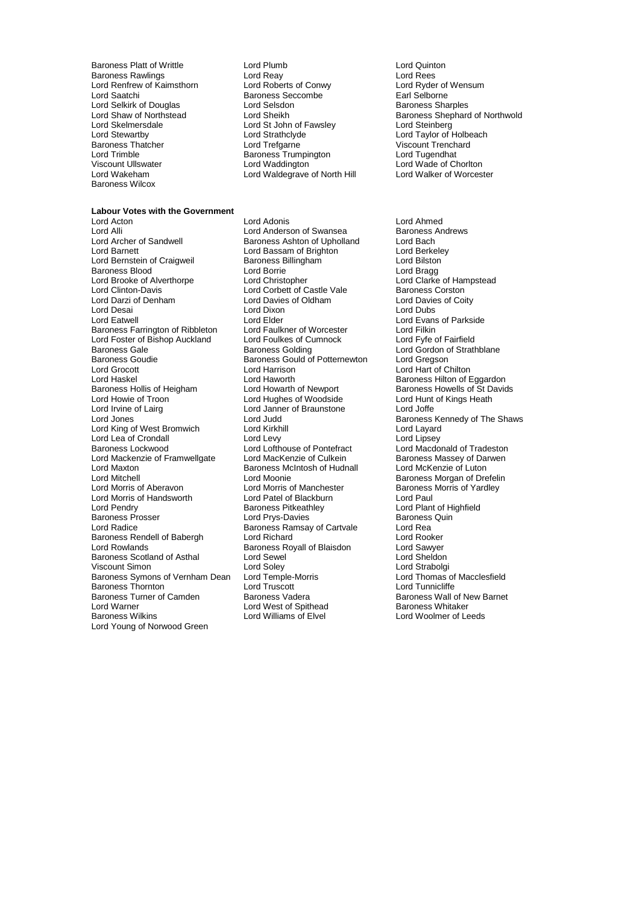Lord Renfrew of Kaimsthorn Lord Selkirk of Douglas Lord Selsdon<br>Lord Shaw of Northstead Lord Sheikh Lord Trimble Baroness Trumpington<br>
Viscount Ullswater Lord Waddington<br>
Viscount Ullswater Lord Waddington Baroness Wilcox

Baroness Platt of Writtle Lord Plumb Lord Quinton Baroness Rawlings Lord Reay Lord Rees Lord Saatchi Baroness Seccombe 1991 Earl Selborne<br>1991 Lord Selsdon Baroness Sharples<br>1991 Baroness Sharples Lord St John of Fawsley<br>Lord Strathclyde Lord Stewartby Lord Strathclyde Lord Strathclyde Lord Taylor of Holbeach<br>
Baroness Thatcher Lord Trefgarne Lord Trefgarne Viscount Trenchard Baroness Thatcher Lord Trefgarne Viscount Trenchard Viscount Ullswater Lord Waddington<br>
Lord Walken Lord Waldenraye of North Hill Lord Walker of Worcester<br>
Lord Walker of Worcester Lord Waldegrave of North Hill

**Labour Votes with the Government** Lord Alli Lord Anderson of Swansea Baroness Ashton of Swansea<br>
Lord Archer of Sandwell Baroness Ashton of Upholland Lord Bach Lord Archer of Sandwell **Baroness Ashton of Upholland** Lord Bach<br>
Lord Barnett Lord Bach Lord Bassam of Brighton Lord Berkelev Lord Bernstein of Craigweil Baroness Blood **Exercise Secure Lord Borrie** Cord Borrie Lord Bragg<br>
Lord Brooke of Alverthorpe **Lord Christopher** Lord Christopher Lord Clarke of Hampstead Lord Brooke of Alverthorpe Lord Christopher Lord Christopher Lord Clarke of Han<br>Lord Corbett of Castle Vale Baroness Corston Lord Clinton-Davis **Lord Corbett of Castle Vale** Baroness Corston<br>
Lord Darzi of Denham **Lord Davies of Corpused Corpuser**<br>
Lord Davies of Coity Lord Darzi of Denham Lord Davies of Oldham Lord Davies of Oldham Lord Davies of Oldham Lord Dubs<br>
Lord Desai Lord Dubs لا لعالية السابقة المسافرة المسافرة المسافرة المسافرة المسافرة المسافرة المسافرة المسافرة المسافرة ا<br>المسافرة المسافرة المسافرة المسافرة المسافرة المسافرة المسافرة المسافرة المسافرة المسافرة المسافرة المسافرة ال<br>المسافرة Baroness Farrington of Ribbleton Lord Faulkner of Worcester Lord Filkin<br>
Lord Foster of Bishop Auckland Lord Foulkes of Cumnock Lord Fyfe of Fairfield Lord Foster of Bishop Auckland Lord Foulkes of Cumnock<br>Baroness Gale Baroness Golding Baroness Gale <sup>1</sup> Baroness Golding Lord Gordon of Strathblane<br>Baroness Goudie Baroness Gould of Potternewton Lord Gregson Lord Grocott **Lord Harrison** Lord Harrison **Lord Hart** of Chilton Lord Haskel Lord Haworth **Baroness Hilton of Eggardon**<br>Baroness Hollis of Heigham Lord Howarth of Newport **Baroness Howells of St David** Baroness Hollis of Heigham Lord Howarth of Newport Baroness Howells of St Davids<br>
Lord Howie of Troon Lord Hughes of Woodside Lord Hunt of Kings Heath Lord Irvine of Lairg Lord Janner of Braunstone Lord Joffe Lord King of West Bromwich Lord Kirkhill Lord Layard Lord Lea of Crondall Lord Levy<br>
Lord Lofthouse of Pontefract<br>
Lord Lofthouse of Pontefract Baroness Lockwood **Lord Lord Lofthouse of Pontefract** Lord Macdonald of Tradeston<br>
Lord Mackenzie of Framwellgate Lord MacKenzie of Culkein Baroness Massey of Darwen Lord Mackenzie of Framwellgate Lord MacKenzie of Culkein Baroness Massey of Darwenden Baroness Massey of Darwenden<br>Lord Maxton Baroness McIntosh of Hudnall Lord McKenzie of Luton Lord Maxton Baroness McIntosh of Hudnall<br>
Lord Mitchell Lord Mitchell Lord Moonie Lord Mitchell<br>
Lord Moonie Corp Baroness Morgan of Drefelin<br>
Lord Morris of Aberavon Lord Morris of Manchester Baroness Morris of Yardley Lord Morris of Handsworth Lord Patel of Blackburn Lord Pendry<br>
Lord Pendry Caroness Pitkeathley Baroness Prosser **Exercise Secure Lord Prys-Davies** Baroness Quin Lord Radice<br>
Lord Radice **Contains Baroness Ramsay of Cartvale** Lord Rea Baroness Rendell of Babergh Lord Richard Lord Richard Lord Rooker<br>
Lord Rooker Lord Rooker<br>
Lord Rowlands Baroness Royall of Blaisdon Lord Sawyer Baroness Scotland of Asthal Lord Sewel Lord Sheldon Viscount Simon **Community Community Community**<br>Baroness Symons of Vernham Dean Lord Temple-Morris **Lord Thomas of Macclesfield** Baroness Symons of Vernham Dean Lord Temple-Morris Lord Thomas of Vernham Dean Lord Truscott Lord Tunnicliffe Baroness Thornton **Lord Truscott**<br>Baroness Turner of Camden **Baroness Vadera** Baroness Turner of Camden Baroness Vadera<br>
Lord Warner Cammer Lord West of Spithead<br>
Baroness Whitaker Lord Warner Lord West of Spithead Baroness Whitaker<br>
Baroness Wilkins Lord West of Spithead Baroness Whitaker<br>
Lord Williams of Elvel Lord Woolmer of Leeds Lord Young of Norwood Green

Lord Adonis<br>
Lord Anderson of Swansea<br>
Lord Anderson of Swansea<br>
Baroness Andrews Lord Bassam of Brighton Lord Berkele<br>
Baroness Billingham Lord Bilston Lord Elder Lord Evans of Parkside<br>
Lord Faulkner of Worcester Lord Filkin Baroness Gould of Potternewton<br>Lord Harrison Lord Hughes of Woodside Lord Morris of Manchester Baroness Morris of Yardley<br>
Lord Patel of Blackburn<br>
Lord Paul **Baroness Ramsay of Cartvale Lord Rea**<br>Lord Richard Lord Rooker Baroness Royall of Blaisdon **Lord Sawyer**<br>
Lord Sewel **Lord Sheldon** Lord Williams of Elvel

Lord Shaw of Northstead Lord Sheikh Baroness Shephard of Northwold

Lord Jones Lord Judd Baroness Kennedy of The Shaws Lord Plant of Highfield